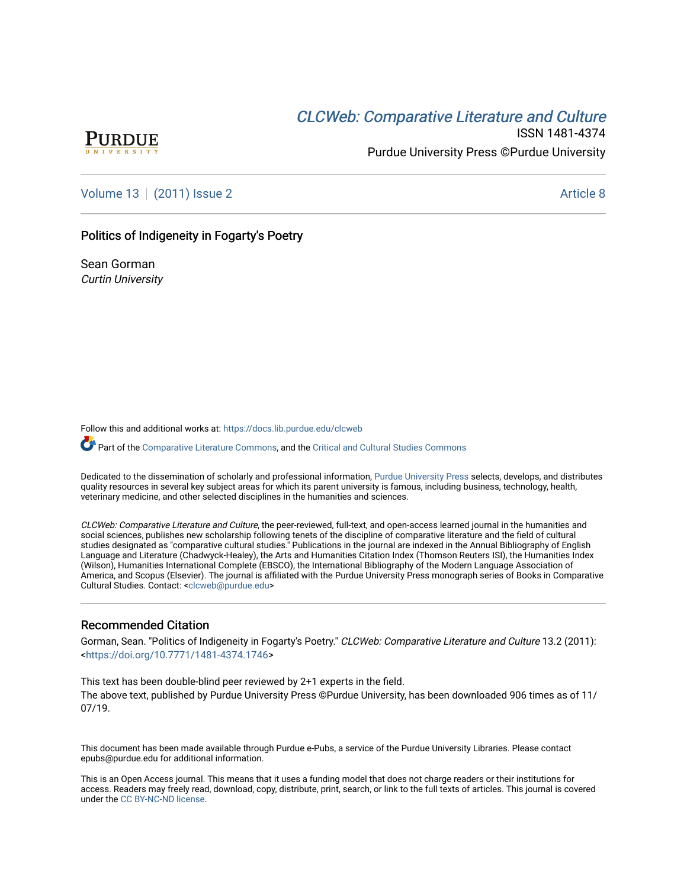# **CLCW[eb: Comparative Liter](https://docs.lib.purdue.edu/clcweb)ature and Culture**



ISSN 1481-4374 Purdue University Press ©Purdue University

[Volume 13](https://docs.lib.purdue.edu/clcweb/vol13) | [\(2011\) Issue 2](https://docs.lib.purdue.edu/clcweb/vol13/iss2) Article 8

## Politics of Indigeneity in Fogarty's Poetry

Sean Gorman Curtin University

Follow this and additional works at: [https://docs.lib.purdue.edu/clcweb](https://docs.lib.purdue.edu/clcweb?utm_source=docs.lib.purdue.edu%2Fclcweb%2Fvol13%2Fiss2%2F8&utm_medium=PDF&utm_campaign=PDFCoverPages)

Part of the [Comparative Literature Commons,](http://network.bepress.com/hgg/discipline/454?utm_source=docs.lib.purdue.edu%2Fclcweb%2Fvol13%2Fiss2%2F8&utm_medium=PDF&utm_campaign=PDFCoverPages) and the Critical and Cultural Studies Commons

Dedicated to the dissemination of scholarly and professional information, [Purdue University Press](http://www.thepress.purdue.edu/) selects, develops, and distributes quality resources in several key subject areas for which its parent university is famous, including business, technology, health, veterinary medicine, and other selected disciplines in the humanities and sciences.

CLCWeb: Comparative Literature and Culture, the peer-reviewed, full-text, and open-access learned journal in the humanities and social sciences, publishes new scholarship following tenets of the discipline of comparative literature and the field of cultural studies designated as "comparative cultural studies." Publications in the journal are indexed in the Annual Bibliography of English Language and Literature (Chadwyck-Healey), the Arts and Humanities Citation Index (Thomson Reuters ISI), the Humanities Index (Wilson), Humanities International Complete (EBSCO), the International Bibliography of the Modern Language Association of America, and Scopus (Elsevier). The journal is affiliated with the Purdue University Press monograph series of Books in Comparative Cultural Studies. Contact: [<clcweb@purdue.edu](mailto:clcweb@purdue.edu)>

## Recommended Citation

Gorman, Sean. "Politics of Indigeneity in Fogarty's Poetry." CLCWeb: Comparative Literature and Culture 13.2 (2011): <<https://doi.org/10.7771/1481-4374.1746>>

This text has been double-blind peer reviewed by 2+1 experts in the field. The above text, published by Purdue University Press ©Purdue University, has been downloaded 906 times as of 11/ 07/19.

This document has been made available through Purdue e-Pubs, a service of the Purdue University Libraries. Please contact epubs@purdue.edu for additional information.

This is an Open Access journal. This means that it uses a funding model that does not charge readers or their institutions for access. Readers may freely read, download, copy, distribute, print, search, or link to the full texts of articles. This journal is covered under the [CC BY-NC-ND license.](https://creativecommons.org/licenses/by-nc-nd/4.0/)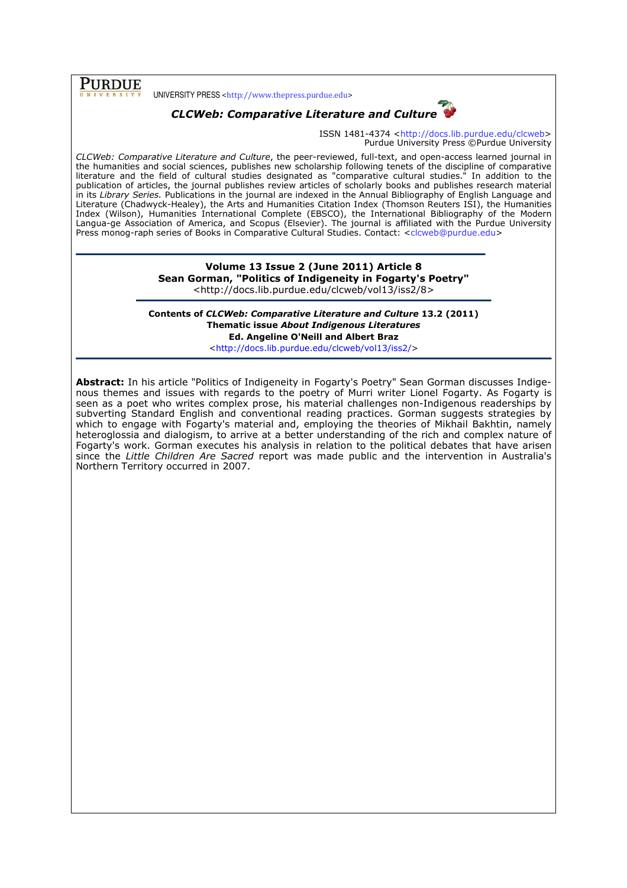# Purdue

UNIVERSITY PRESS <http://www.thepress.purdue.edu>



# CLCWeb: Comparative Literature and Culture

ISSN 1481-4374 <http://docs.lib.purdue.edu/clcweb> Purdue University Press ©Purdue University

CLCWeb: Comparative Literature and Culture, the peer-reviewed, full-text, and open-access learned journal in the humanities and social sciences, publishes new scholarship following tenets of the discipline of comparative literature and the field of cultural studies designated as "comparative cultural studies." In addition to the publication of articles, the journal publishes review articles of scholarly books and publishes research material in its Library Series. Publications in the journal are indexed in the Annual Bibliography of English Language and Literature (Chadwyck-Healey), the Arts and Humanities Citation Index (Thomson Reuters ISI), the Humanities Index (Wilson), Humanities International Complete (EBSCO), the International Bibliography of the Modern Langua-ge Association of America, and Scopus (Elsevier). The journal is affiliated with the Purdue University Press monog-raph series of Books in Comparative Cultural Studies. Contact: <clcweb@purdue.edu>

#### Volume 13 Issue 2 (June 2011) Article 8 Sean Gorman, "Politics of Indigeneity in Fogarty's Poetry" <http://docs.lib.purdue.edu/clcweb/vol13/iss2/8>

Contents of CLCWeb: Comparative Literature and Culture 13.2 (2011) Thematic issue About Indigenous Literatures Ed. Angeline O'Neill and Albert Braz

<http://docs.lib.purdue.edu/clcweb/vol13/iss2/>

Abstract: In his article "Politics of Indigeneity in Fogarty's Poetry" Sean Gorman discusses Indigenous themes and issues with regards to the poetry of Murri writer Lionel Fogarty. As Fogarty is seen as a poet who writes complex prose, his material challenges non-Indigenous readerships by subverting Standard English and conventional reading practices. Gorman suggests strategies by which to engage with Fogarty's material and, employing the theories of Mikhail Bakhtin, namely heteroglossia and dialogism, to arrive at a better understanding of the rich and complex nature of Fogarty's work. Gorman executes his analysis in relation to the political debates that have arisen since the Little Children Are Sacred report was made public and the intervention in Australia's Northern Territory occurred in 2007.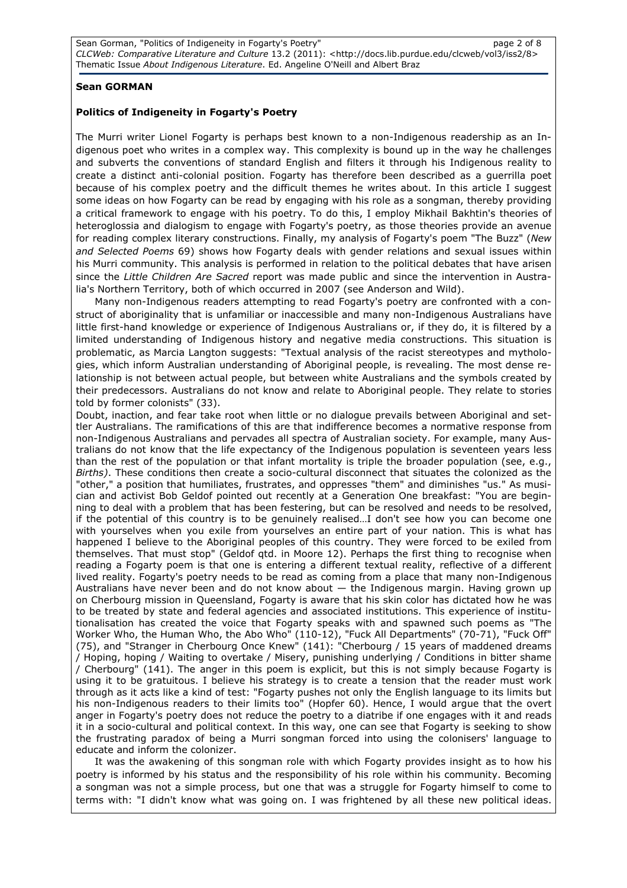### Sean GORMAN

#### Politics of Indigeneity in Fogarty's Poetry

The Murri writer Lionel Fogarty is perhaps best known to a non-Indigenous readership as an Indigenous poet who writes in a complex way. This complexity is bound up in the way he challenges and subverts the conventions of standard English and filters it through his Indigenous reality to create a distinct anti-colonial position. Fogarty has therefore been described as a guerrilla poet because of his complex poetry and the difficult themes he writes about. In this article I suggest some ideas on how Fogarty can be read by engaging with his role as a songman, thereby providing a critical framework to engage with his poetry. To do this, I employ Mikhail Bakhtin's theories of heteroglossia and dialogism to engage with Fogarty's poetry, as those theories provide an avenue for reading complex literary constructions. Finally, my analysis of Fogarty's poem "The Buzz" (New and Selected Poems 69) shows how Fogarty deals with gender relations and sexual issues within his Murri community. This analysis is performed in relation to the political debates that have arisen since the Little Children Are Sacred report was made public and since the intervention in Australia's Northern Territory, both of which occurred in 2007 (see Anderson and Wild).

Many non-Indigenous readers attempting to read Fogarty's poetry are confronted with a construct of aboriginality that is unfamiliar or inaccessible and many non-Indigenous Australians have little first-hand knowledge or experience of Indigenous Australians or, if they do, it is filtered by a limited understanding of Indigenous history and negative media constructions. This situation is problematic, as Marcia Langton suggests: "Textual analysis of the racist stereotypes and mythologies, which inform Australian understanding of Aboriginal people, is revealing. The most dense relationship is not between actual people, but between white Australians and the symbols created by their predecessors. Australians do not know and relate to Aboriginal people. They relate to stories told by former colonists" (33).

Doubt, inaction, and fear take root when little or no dialogue prevails between Aboriginal and settler Australians. The ramifications of this are that indifference becomes a normative response from non-Indigenous Australians and pervades all spectra of Australian society. For example, many Australians do not know that the life expectancy of the Indigenous population is seventeen years less than the rest of the population or that infant mortality is triple the broader population (see, e.g., Births). These conditions then create a socio-cultural disconnect that situates the colonized as the "other," a position that humiliates, frustrates, and oppresses "them" and diminishes "us." As musician and activist Bob Geldof pointed out recently at a Generation One breakfast: "You are beginning to deal with a problem that has been festering, but can be resolved and needs to be resolved, if the potential of this country is to be genuinely realised…I don't see how you can become one with yourselves when you exile from yourselves an entire part of your nation. This is what has happened I believe to the Aboriginal peoples of this country. They were forced to be exiled from themselves. That must stop" (Geldof qtd. in Moore 12). Perhaps the first thing to recognise when reading a Fogarty poem is that one is entering a different textual reality, reflective of a different lived reality. Fogarty's poetry needs to be read as coming from a place that many non-Indigenous Australians have never been and do not know about  $-$  the Indigenous margin. Having grown up on Cherbourg mission in Queensland, Fogarty is aware that his skin color has dictated how he was to be treated by state and federal agencies and associated institutions. This experience of institutionalisation has created the voice that Fogarty speaks with and spawned such poems as "The Worker Who, the Human Who, the Abo Who" (110-12), "Fuck All Departments" (70-71), "Fuck Off" (75), and "Stranger in Cherbourg Once Knew" (141): "Cherbourg / 15 years of maddened dreams / Hoping, hoping / Waiting to overtake / Misery, punishing underlying / Conditions in bitter shame / Cherbourg" (141). The anger in this poem is explicit, but this is not simply because Fogarty is using it to be gratuitous. I believe his strategy is to create a tension that the reader must work through as it acts like a kind of test: "Fogarty pushes not only the English language to its limits but his non-Indigenous readers to their limits too" (Hopfer 60). Hence, I would argue that the overt anger in Fogarty's poetry does not reduce the poetry to a diatribe if one engages with it and reads it in a socio-cultural and political context. In this way, one can see that Fogarty is seeking to show the frustrating paradox of being a Murri songman forced into using the colonisers' language to educate and inform the colonizer.

It was the awakening of this songman role with which Fogarty provides insight as to how his poetry is informed by his status and the responsibility of his role within his community. Becoming a songman was not a simple process, but one that was a struggle for Fogarty himself to come to terms with: "I didn't know what was going on. I was frightened by all these new political ideas.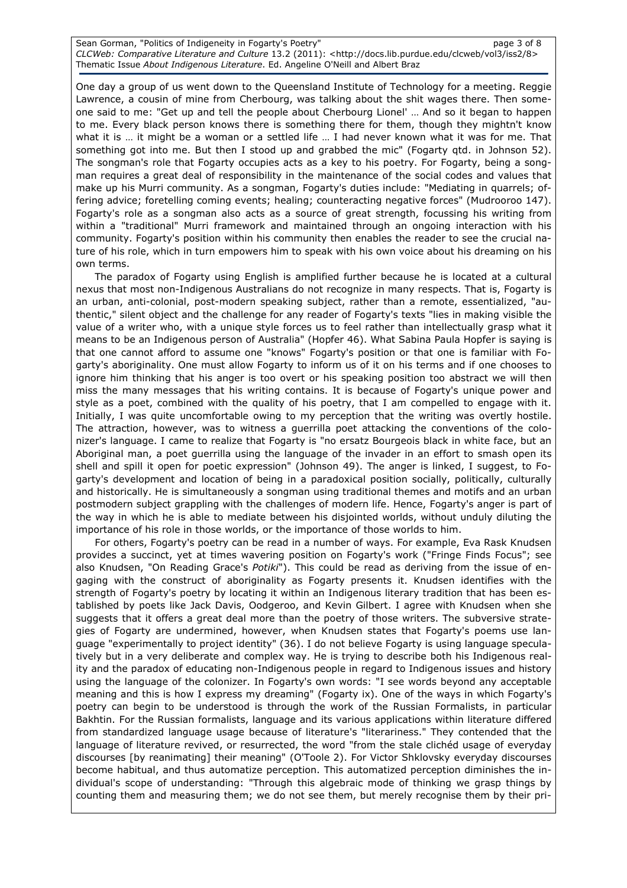Sean Gorman, "Politics of Indigeneity in Fogarty's Poetry" and the control of 8 page 3 of 8 CLCWeb: Comparative Literature and Culture 13.2 (2011): <http://docs.lib.purdue.edu/clcweb/vol3/iss2/8> Thematic Issue About Indigenous Literature. Ed. Angeline O'Neill and Albert Braz

One day a group of us went down to the Queensland Institute of Technology for a meeting. Reggie Lawrence, a cousin of mine from Cherbourg, was talking about the shit wages there. Then someone said to me: "Get up and tell the people about Cherbourg Lionel' … And so it began to happen to me. Every black person knows there is something there for them, though they mightn't know what it is ... it might be a woman or a settled life ... I had never known what it was for me. That something got into me. But then I stood up and grabbed the mic" (Fogarty qtd. in Johnson 52). The songman's role that Fogarty occupies acts as a key to his poetry. For Fogarty, being a songman requires a great deal of responsibility in the maintenance of the social codes and values that make up his Murri community. As a songman, Fogarty's duties include: "Mediating in quarrels; offering advice; foretelling coming events; healing; counteracting negative forces" (Mudrooroo 147). Fogarty's role as a songman also acts as a source of great strength, focussing his writing from within a "traditional" Murri framework and maintained through an ongoing interaction with his community. Fogarty's position within his community then enables the reader to see the crucial nature of his role, which in turn empowers him to speak with his own voice about his dreaming on his own terms.

The paradox of Fogarty using English is amplified further because he is located at a cultural nexus that most non-Indigenous Australians do not recognize in many respects. That is, Fogarty is an urban, anti-colonial, post-modern speaking subject, rather than a remote, essentialized, "authentic," silent object and the challenge for any reader of Fogarty's texts "lies in making visible the value of a writer who, with a unique style forces us to feel rather than intellectually grasp what it means to be an Indigenous person of Australia" (Hopfer 46). What Sabina Paula Hopfer is saying is that one cannot afford to assume one "knows" Fogarty's position or that one is familiar with Fogarty's aboriginality. One must allow Fogarty to inform us of it on his terms and if one chooses to ignore him thinking that his anger is too overt or his speaking position too abstract we will then miss the many messages that his writing contains. It is because of Fogarty's unique power and style as a poet, combined with the quality of his poetry, that I am compelled to engage with it. Initially, I was quite uncomfortable owing to my perception that the writing was overtly hostile. The attraction, however, was to witness a guerrilla poet attacking the conventions of the colonizer's language. I came to realize that Fogarty is "no ersatz Bourgeois black in white face, but an Aboriginal man, a poet guerrilla using the language of the invader in an effort to smash open its shell and spill it open for poetic expression" (Johnson 49). The anger is linked, I suggest, to Fogarty's development and location of being in a paradoxical position socially, politically, culturally and historically. He is simultaneously a songman using traditional themes and motifs and an urban postmodern subject grappling with the challenges of modern life. Hence, Fogarty's anger is part of the way in which he is able to mediate between his disjointed worlds, without unduly diluting the importance of his role in those worlds, or the importance of those worlds to him.

For others, Fogarty's poetry can be read in a number of ways. For example, Eva Rask Knudsen provides a succinct, yet at times wavering position on Fogarty's work ("Fringe Finds Focus"; see also Knudsen, "On Reading Grace's Potiki"). This could be read as deriving from the issue of engaging with the construct of aboriginality as Fogarty presents it. Knudsen identifies with the strength of Fogarty's poetry by locating it within an Indigenous literary tradition that has been established by poets like Jack Davis, Oodgeroo, and Kevin Gilbert. I agree with Knudsen when she suggests that it offers a great deal more than the poetry of those writers. The subversive strategies of Fogarty are undermined, however, when Knudsen states that Fogarty's poems use language "experimentally to project identity" (36). I do not believe Fogarty is using language speculatively but in a very deliberate and complex way. He is trying to describe both his Indigenous reality and the paradox of educating non-Indigenous people in regard to Indigenous issues and history using the language of the colonizer. In Fogarty's own words: "I see words beyond any acceptable meaning and this is how I express my dreaming" (Fogarty ix). One of the ways in which Fogarty's poetry can begin to be understood is through the work of the Russian Formalists, in particular Bakhtin. For the Russian formalists, language and its various applications within literature differed from standardized language usage because of literature's "literariness." They contended that the language of literature revived, or resurrected, the word "from the stale clichéd usage of everyday discourses [by reanimating] their meaning" (O'Toole 2). For Victor Shklovsky everyday discourses become habitual, and thus automatize perception. This automatized perception diminishes the individual's scope of understanding: "Through this algebraic mode of thinking we grasp things by counting them and measuring them; we do not see them, but merely recognise them by their pri-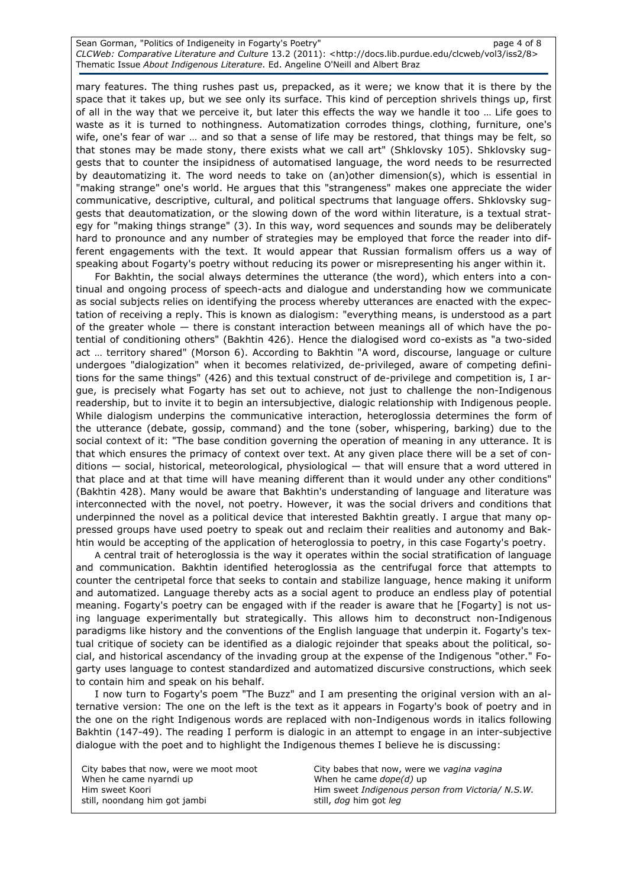Sean Gorman, "Politics of Indigeneity in Fogarty's Poetry" and the control of 8 CLCWeb: Comparative Literature and Culture 13.2 (2011): <http://docs.lib.purdue.edu/clcweb/vol3/iss2/8> Thematic Issue About Indigenous Literature. Ed. Angeline O'Neill and Albert Braz

mary features. The thing rushes past us, prepacked, as it were; we know that it is there by the space that it takes up, but we see only its surface. This kind of perception shrivels things up, first of all in the way that we perceive it, but later this effects the way we handle it too … Life goes to waste as it is turned to nothingness. Automatization corrodes things, clothing, furniture, one's wife, one's fear of war … and so that a sense of life may be restored, that things may be felt, so that stones may be made stony, there exists what we call art" (Shklovsky 105). Shklovsky suggests that to counter the insipidness of automatised language, the word needs to be resurrected by deautomatizing it. The word needs to take on (an)other dimension(s), which is essential in "making strange" one's world. He argues that this "strangeness" makes one appreciate the wider communicative, descriptive, cultural, and political spectrums that language offers. Shklovsky suggests that deautomatization, or the slowing down of the word within literature, is a textual strategy for "making things strange" (3). In this way, word sequences and sounds may be deliberately hard to pronounce and any number of strategies may be employed that force the reader into different engagements with the text. It would appear that Russian formalism offers us a way of speaking about Fogarty's poetry without reducing its power or misrepresenting his anger within it.

For Bakhtin, the social always determines the utterance (the word), which enters into a continual and ongoing process of speech-acts and dialogue and understanding how we communicate as social subjects relies on identifying the process whereby utterances are enacted with the expectation of receiving a reply. This is known as dialogism: "everything means, is understood as a part of the greater whole — there is constant interaction between meanings all of which have the potential of conditioning others" (Bakhtin 426). Hence the dialogised word co-exists as "a two-sided act … territory shared" (Morson 6). According to Bakhtin "A word, discourse, language or culture undergoes "dialogization" when it becomes relativized, de-privileged, aware of competing definitions for the same things" (426) and this textual construct of de-privilege and competition is, I argue, is precisely what Fogarty has set out to achieve, not just to challenge the non-Indigenous readership, but to invite it to begin an intersubjective, dialogic relationship with Indigenous people. While dialogism underpins the communicative interaction, heteroglossia determines the form of the utterance (debate, gossip, command) and the tone (sober, whispering, barking) due to the social context of it: "The base condition governing the operation of meaning in any utterance. It is that which ensures the primacy of context over text. At any given place there will be a set of conditions — social, historical, meteorological, physiological — that will ensure that a word uttered in that place and at that time will have meaning different than it would under any other conditions" (Bakhtin 428). Many would be aware that Bakhtin's understanding of language and literature was interconnected with the novel, not poetry. However, it was the social drivers and conditions that underpinned the novel as a political device that interested Bakhtin greatly. I argue that many oppressed groups have used poetry to speak out and reclaim their realities and autonomy and Bakhtin would be accepting of the application of heteroglossia to poetry, in this case Fogarty's poetry.

A central trait of heteroglossia is the way it operates within the social stratification of language and communication. Bakhtin identified heteroglossia as the centrifugal force that attempts to counter the centripetal force that seeks to contain and stabilize language, hence making it uniform and automatized. Language thereby acts as a social agent to produce an endless play of potential meaning. Fogarty's poetry can be engaged with if the reader is aware that he [Fogarty] is not using language experimentally but strategically. This allows him to deconstruct non-Indigenous paradigms like history and the conventions of the English language that underpin it. Fogarty's textual critique of society can be identified as a dialogic rejoinder that speaks about the political, social, and historical ascendancy of the invading group at the expense of the Indigenous "other." Fogarty uses language to contest standardized and automatized discursive constructions, which seek to contain him and speak on his behalf.

I now turn to Fogarty's poem "The Buzz" and I am presenting the original version with an alternative version: The one on the left is the text as it appears in Fogarty's book of poetry and in the one on the right Indigenous words are replaced with non-Indigenous words in italics following Bakhtin (147-49). The reading I perform is dialogic in an attempt to engage in an inter-subjective dialogue with the poet and to highlight the Indigenous themes I believe he is discussing:

| City babes that now, were we moot moot<br>When he came nyarndi up | City babes that now, were we vagina vagina<br>When he came $dope(d)$ up |
|-------------------------------------------------------------------|-------------------------------------------------------------------------|
| Him sweet Koori                                                   | Him sweet Indigenous person from Victoria/ N.S.W.                       |
| still, noondang him got jambi                                     | still, <i>dog</i> him got <i>leg</i>                                    |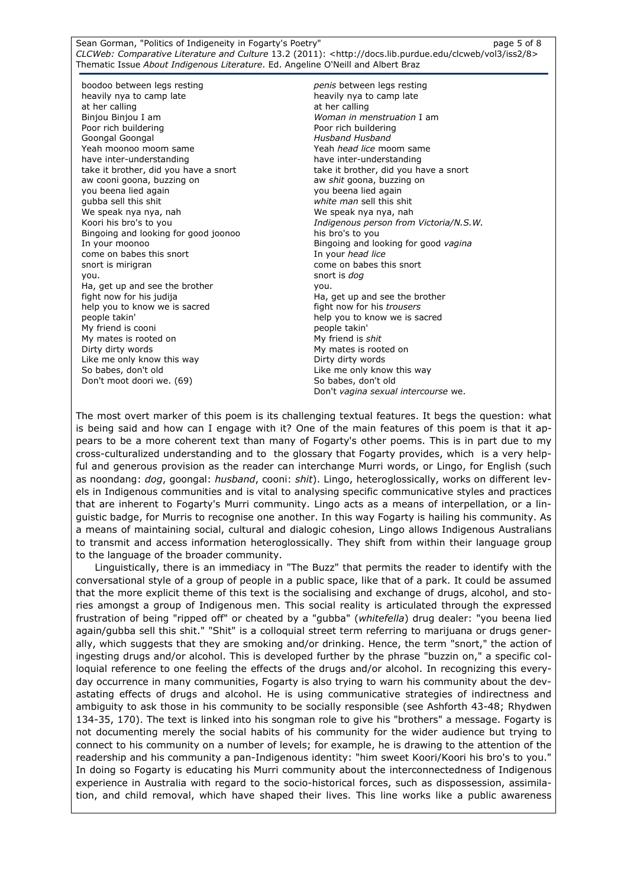Sean Gorman, "Politics of Indigeneity in Fogarty's Poetry" and the control of 8 page 5 of 8 CLCWeb: Comparative Literature and Culture 13.2 (2011): <http://docs.lib.purdue.edu/clcweb/vol3/iss2/8> Thematic Issue About Indigenous Literature. Ed. Angeline O'Neill and Albert Braz

boodoo between legs resting heavily nya to camp late at her calling Binjou Binjou I am Poor rich buildering Goongal Goongal Yeah moonoo moom same have inter-understanding take it brother, did you have a snort aw cooni goona, buzzing on you beena lied again gubba sell this shit We speak nya nya, nah Koori his bro's to you Bingoing and looking for good joonoo In your moonoo come on babes this snort snort is mirigran you. Ha, get up and see the brother fight now for his judija help you to know we is sacred people takin' My friend is cooni My mates is rooted on Dirty dirty words Like me only know this way So babes, don't old Don't moot doori we. (69)

penis between legs resting heavily nya to camp late at her calling Woman in menstruation I am Poor rich buildering Husband Husband Yeah head lice moom same have inter-understanding take it brother, did you have a snort aw shit goona, buzzing on you beena lied again white man sell this shit We speak nya nya, nah Indigenous person from Victoria/N.S.W. his bro's to you Bingoing and looking for good vagina In your head lice come on babes this snort snort is dog you. Ha, get up and see the brother fight now for his trousers help you to know we is sacred people takin' My friend is shit My mates is rooted on Dirty dirty words Like me only know this way So babes, don't old Don't vagina sexual intercourse we.

The most overt marker of this poem is its challenging textual features. It begs the question: what is being said and how can I engage with it? One of the main features of this poem is that it appears to be a more coherent text than many of Fogarty's other poems. This is in part due to my cross-culturalized understanding and to the glossary that Fogarty provides, which is a very helpful and generous provision as the reader can interchange Murri words, or Lingo, for English (such as noondang: dog, goongal: husband, cooni: shit). Lingo, heteroglossically, works on different levels in Indigenous communities and is vital to analysing specific communicative styles and practices that are inherent to Fogarty's Murri community. Lingo acts as a means of interpellation, or a linguistic badge, for Murris to recognise one another. In this way Fogarty is hailing his community. As a means of maintaining social, cultural and dialogic cohesion, Lingo allows Indigenous Australians to transmit and access information heteroglossically. They shift from within their language group to the language of the broader community.

Linguistically, there is an immediacy in "The Buzz" that permits the reader to identify with the conversational style of a group of people in a public space, like that of a park. It could be assumed that the more explicit theme of this text is the socialising and exchange of drugs, alcohol, and stories amongst a group of Indigenous men. This social reality is articulated through the expressed frustration of being "ripped off" or cheated by a "gubba" (whitefella) drug dealer: "you beena lied again/gubba sell this shit." "Shit" is a colloquial street term referring to marijuana or drugs generally, which suggests that they are smoking and/or drinking. Hence, the term "snort," the action of ingesting drugs and/or alcohol. This is developed further by the phrase "buzzin on," a specific colloquial reference to one feeling the effects of the drugs and/or alcohol. In recognizing this everyday occurrence in many communities, Fogarty is also trying to warn his community about the devastating effects of drugs and alcohol. He is using communicative strategies of indirectness and ambiguity to ask those in his community to be socially responsible (see Ashforth 43-48; Rhydwen 134-35, 170). The text is linked into his songman role to give his "brothers" a message. Fogarty is not documenting merely the social habits of his community for the wider audience but trying to connect to his community on a number of levels; for example, he is drawing to the attention of the readership and his community a pan-Indigenous identity: "him sweet Koori/Koori his bro's to you." In doing so Fogarty is educating his Murri community about the interconnectedness of Indigenous experience in Australia with regard to the socio-historical forces, such as dispossession, assimilation, and child removal, which have shaped their lives. This line works like a public awareness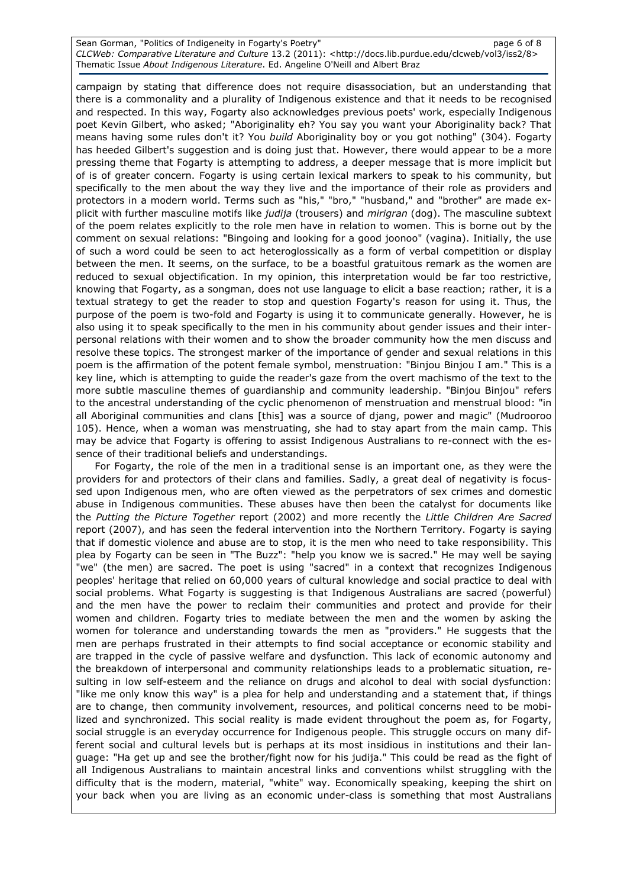Sean Gorman, "Politics of Indigeneity in Fogarty's Poetry" and the control of 8 page 6 of 8 CLCWeb: Comparative Literature and Culture 13.2 (2011): <http://docs.lib.purdue.edu/clcweb/vol3/iss2/8> Thematic Issue About Indigenous Literature. Ed. Angeline O'Neill and Albert Braz

campaign by stating that difference does not require disassociation, but an understanding that there is a commonality and a plurality of Indigenous existence and that it needs to be recognised and respected. In this way, Fogarty also acknowledges previous poets' work, especially Indigenous poet Kevin Gilbert, who asked; "Aboriginality eh? You say you want your Aboriginality back? That means having some rules don't it? You build Aboriginality boy or you got nothing" (304). Fogarty has heeded Gilbert's suggestion and is doing just that. However, there would appear to be a more pressing theme that Fogarty is attempting to address, a deeper message that is more implicit but of is of greater concern. Fogarty is using certain lexical markers to speak to his community, but specifically to the men about the way they live and the importance of their role as providers and protectors in a modern world. Terms such as "his," "bro," "husband," and "brother" are made explicit with further masculine motifs like judija (trousers) and mirigran (dog). The masculine subtext of the poem relates explicitly to the role men have in relation to women. This is borne out by the comment on sexual relations: "Bingoing and looking for a good joonoo" (vagina). Initially, the use of such a word could be seen to act heteroglossically as a form of verbal competition or display between the men. It seems, on the surface, to be a boastful gratuitous remark as the women are reduced to sexual objectification. In my opinion, this interpretation would be far too restrictive, knowing that Fogarty, as a songman, does not use language to elicit a base reaction; rather, it is a textual strategy to get the reader to stop and question Fogarty's reason for using it. Thus, the purpose of the poem is two-fold and Fogarty is using it to communicate generally. However, he is also using it to speak specifically to the men in his community about gender issues and their interpersonal relations with their women and to show the broader community how the men discuss and resolve these topics. The strongest marker of the importance of gender and sexual relations in this poem is the affirmation of the potent female symbol, menstruation: "Binjou Binjou I am." This is a key line, which is attempting to guide the reader's gaze from the overt machismo of the text to the more subtle masculine themes of guardianship and community leadership. "Binjou Binjou" refers to the ancestral understanding of the cyclic phenomenon of menstruation and menstrual blood: "in all Aboriginal communities and clans [this] was a source of djang, power and magic" (Mudrooroo 105). Hence, when a woman was menstruating, she had to stay apart from the main camp. This may be advice that Fogarty is offering to assist Indigenous Australians to re-connect with the essence of their traditional beliefs and understandings.

For Fogarty, the role of the men in a traditional sense is an important one, as they were the providers for and protectors of their clans and families. Sadly, a great deal of negativity is focussed upon Indigenous men, who are often viewed as the perpetrators of sex crimes and domestic abuse in Indigenous communities. These abuses have then been the catalyst for documents like the Putting the Picture Together report (2002) and more recently the Little Children Are Sacred report (2007), and has seen the federal intervention into the Northern Territory. Fogarty is saying that if domestic violence and abuse are to stop, it is the men who need to take responsibility. This plea by Fogarty can be seen in "The Buzz": "help you know we is sacred." He may well be saying "we" (the men) are sacred. The poet is using "sacred" in a context that recognizes Indigenous peoples' heritage that relied on 60,000 years of cultural knowledge and social practice to deal with social problems. What Fogarty is suggesting is that Indigenous Australians are sacred (powerful) and the men have the power to reclaim their communities and protect and provide for their women and children. Fogarty tries to mediate between the men and the women by asking the women for tolerance and understanding towards the men as "providers." He suggests that the men are perhaps frustrated in their attempts to find social acceptance or economic stability and are trapped in the cycle of passive welfare and dysfunction. This lack of economic autonomy and the breakdown of interpersonal and community relationships leads to a problematic situation, resulting in low self-esteem and the reliance on drugs and alcohol to deal with social dysfunction: "like me only know this way" is a plea for help and understanding and a statement that, if things are to change, then community involvement, resources, and political concerns need to be mobilized and synchronized. This social reality is made evident throughout the poem as, for Fogarty, social struggle is an everyday occurrence for Indigenous people. This struggle occurs on many different social and cultural levels but is perhaps at its most insidious in institutions and their language: "Ha get up and see the brother/fight now for his judija." This could be read as the fight of all Indigenous Australians to maintain ancestral links and conventions whilst struggling with the difficulty that is the modern, material, "white" way. Economically speaking, keeping the shirt on your back when you are living as an economic under-class is something that most Australians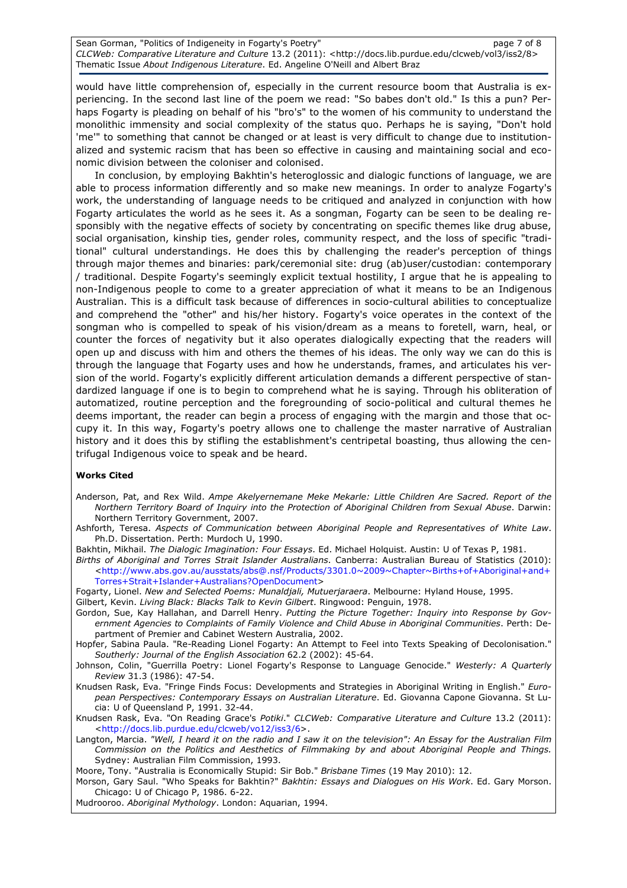Sean Gorman, "Politics of Indigeneity in Fogarty's Poetry" and the control of 8 page 7 of 8 CLCWeb: Comparative Literature and Culture 13.2 (2011): <http://docs.lib.purdue.edu/clcweb/vol3/iss2/8> Thematic Issue About Indigenous Literature. Ed. Angeline O'Neill and Albert Braz

would have little comprehension of, especially in the current resource boom that Australia is experiencing. In the second last line of the poem we read: "So babes don't old." Is this a pun? Perhaps Fogarty is pleading on behalf of his "bro's" to the women of his community to understand the monolithic immensity and social complexity of the status quo. Perhaps he is saying, "Don't hold 'me'" to something that cannot be changed or at least is very difficult to change due to institutionalized and systemic racism that has been so effective in causing and maintaining social and economic division between the coloniser and colonised.

In conclusion, by employing Bakhtin's heteroglossic and dialogic functions of language, we are able to process information differently and so make new meanings. In order to analyze Fogarty's work, the understanding of language needs to be critiqued and analyzed in conjunction with how Fogarty articulates the world as he sees it. As a songman, Fogarty can be seen to be dealing responsibly with the negative effects of society by concentrating on specific themes like drug abuse, social organisation, kinship ties, gender roles, community respect, and the loss of specific "traditional" cultural understandings. He does this by challenging the reader's perception of things through major themes and binaries: park/ceremonial site: drug (ab)user/custodian: contemporary / traditional. Despite Fogarty's seemingly explicit textual hostility, I argue that he is appealing to non-Indigenous people to come to a greater appreciation of what it means to be an Indigenous Australian. This is a difficult task because of differences in socio-cultural abilities to conceptualize and comprehend the "other" and his/her history. Fogarty's voice operates in the context of the songman who is compelled to speak of his vision/dream as a means to foretell, warn, heal, or counter the forces of negativity but it also operates dialogically expecting that the readers will open up and discuss with him and others the themes of his ideas. The only way we can do this is through the language that Fogarty uses and how he understands, frames, and articulates his version of the world. Fogarty's explicitly different articulation demands a different perspective of standardized language if one is to begin to comprehend what he is saying. Through his obliteration of automatized, routine perception and the foregrounding of socio-political and cultural themes he deems important, the reader can begin a process of engaging with the margin and those that occupy it. In this way, Fogarty's poetry allows one to challenge the master narrative of Australian history and it does this by stifling the establishment's centripetal boasting, thus allowing the centrifugal Indigenous voice to speak and be heard.

#### Works Cited

- Anderson, Pat, and Rex Wild. Ampe Akelyernemane Meke Mekarle: Little Children Are Sacred. Report of the Northern Territory Board of Inquiry into the Protection of Aboriginal Children from Sexual Abuse. Darwin: Northern Territory Government, 2007.
- Ashforth, Teresa. Aspects of Communication between Aboriginal People and Representatives of White Law. Ph.D. Dissertation. Perth: Murdoch U, 1990.
- Bakhtin, Mikhail. The Dialogic Imagination: Four Essays. Ed. Michael Holquist. Austin: U of Texas P, 1981.
- Births of Aboriginal and Torres Strait Islander Australians. Canberra: Australian Bureau of Statistics (2010): <http://www.abs.gov.au/ausstats/abs@.nsf/Products/3301.0~2009~Chapter~Births+of+Aboriginal+and+ Torres+Strait+Islander+Australians?OpenDocument>

Fogarty, Lionel. New and Selected Poems: Munaldjali, Mutuerjaraera. Melbourne: Hyland House, 1995.

Gilbert, Kevin. Living Black: Blacks Talk to Kevin Gilbert. Ringwood: Penguin, 1978.

- Gordon, Sue, Kay Hallahan, and Darrell Henry. Putting the Picture Together: Inquiry into Response by Government Agencies to Complaints of Family Violence and Child Abuse in Aboriginal Communities. Perth: Department of Premier and Cabinet Western Australia, 2002.
- Hopfer, Sabina Paula. "Re-Reading Lionel Fogarty: An Attempt to Feel into Texts Speaking of Decolonisation." Southerly: Journal of the English Association 62.2 (2002): 45-64.
- Johnson, Colin, "Guerrilla Poetry: Lionel Fogarty's Response to Language Genocide." Westerly: A Quarterly Review 31.3 (1986): 47-54.
- Knudsen Rask, Eva. "Fringe Finds Focus: Developments and Strategies in Aboriginal Writing in English." European Perspectives: Contemporary Essays on Australian Literature. Ed. Giovanna Capone Giovanna. St Lucia: U of Queensland P, 1991. 32-44.
- Knudsen Rask, Eva. "On Reading Grace's Potiki." CLCWeb: Comparative Literature and Culture 13.2 (2011): <http://docs.lib.purdue.edu/clcweb/vo12/iss3/6>.
- Langton, Marcia. "Well, I heard it on the radio and I saw it on the television": An Essay for the Australian Film Commission on the Politics and Aesthetics of Filmmaking by and about Aboriginal People and Things. Sydney: Australian Film Commission, 1993.

Moore, Tony. "Australia is Economically Stupid: Sir Bob." Brisbane Times (19 May 2010): 12.

Morson, Gary Saul. "Who Speaks for Bakhtin?" Bakhtin: Essays and Dialogues on His Work. Ed. Gary Morson. Chicago: U of Chicago P, 1986. 6-22.

Mudrooroo. Aboriginal Mythology. London: Aquarian, 1994.